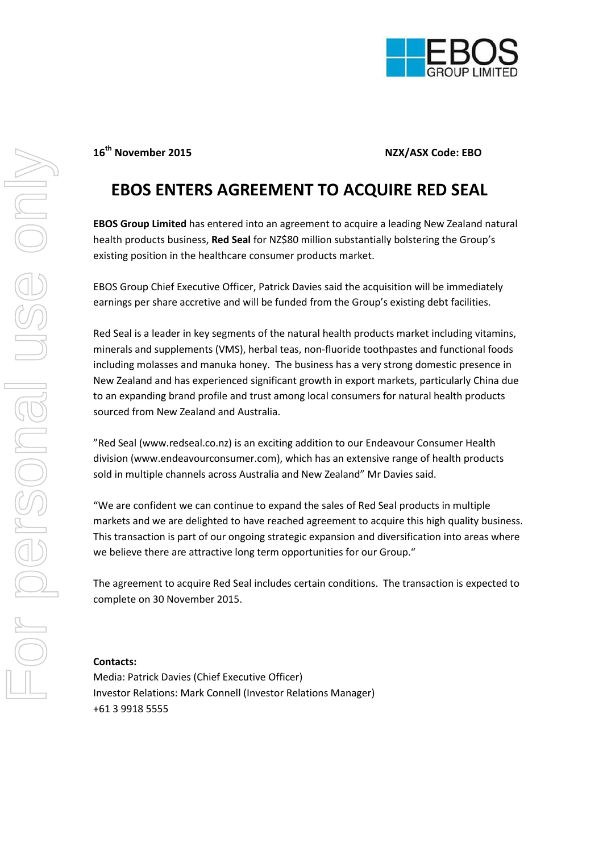

### **16th November 2015 NZX/ASX Code: EBO**

## **EBOS ENTERS AGREEMENT TO ACQUIRE RED SEAL**

**EBOS Group Limited** has entered into an agreement to acquire a leading New Zealand natural health products business, **Red Seal** for NZ\$80 million substantially bolstering the Group's existing position in the healthcare consumer products market.

EBOS Group Chief Executive Officer, Patrick Davies said the acquisition will be immediately earnings per share accretive and will be funded from the Group's existing debt facilities.

Red Seal is a leader in key segments of the natural health products market including vitamins, minerals and supplements (VMS), herbal teas, non-fluoride toothpastes and functional foods including molasses and manuka honey. The business has a very strong domestic presence in New Zealand and has experienced significant growth in export markets, particularly China due to an expanding brand profile and trust among local consumers for natural health products sourced from New Zealand and Australia.

"Red Seal [\(www.redseal.co.nz\)](http://www.redseal.co.nz/) is an exciting addition to our Endeavour Consumer Health division [\(www.endeavourconsumer.com\)](http://www.endeavourconsumer.com/), which has an extensive range of health products sold in multiple channels across Australia and New Zealand" Mr Davies said.

"We are confident we can continue to expand the sales of Red Seal products in multiple markets and we are delighted to have reached agreement to acquire this high quality business. This transaction is part of our ongoing strategic expansion and diversification into areas where we believe there are attractive long term opportunities for our Group."

The agreement to acquire Red Seal includes certain conditions. The transaction is expected to complete on 30 November 2015.

### **Contacts:**

Media: Patrick Davies (Chief Executive Officer) Investor Relations: Mark Connell (Investor Relations Manager) +61 3 9918 5555